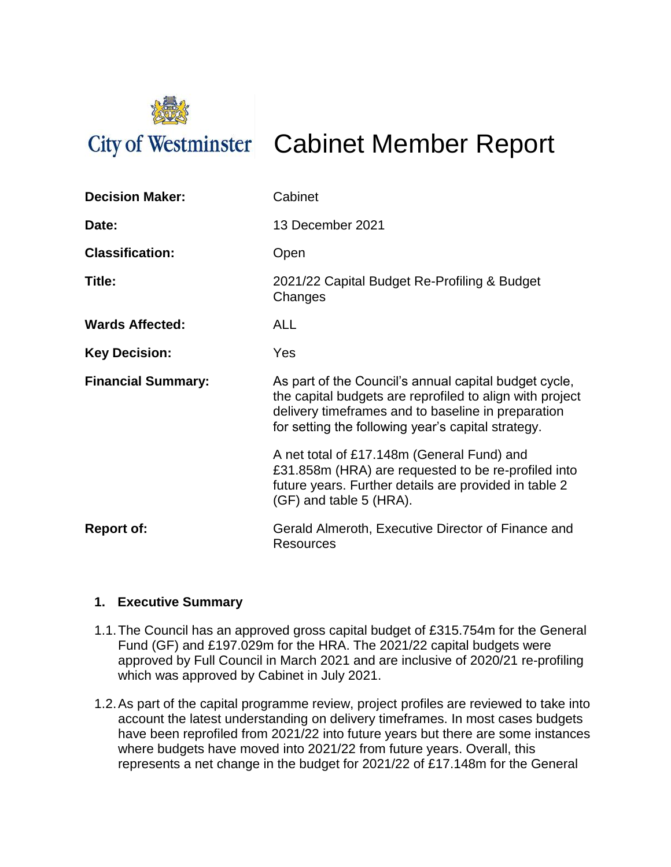

# City of Westminster Cabinet Member Report

| <b>Decision Maker:</b>    | Cabinet                                                                                                                                                                                                                       |
|---------------------------|-------------------------------------------------------------------------------------------------------------------------------------------------------------------------------------------------------------------------------|
| Date:                     | 13 December 2021                                                                                                                                                                                                              |
| <b>Classification:</b>    | Open                                                                                                                                                                                                                          |
| Title:                    | 2021/22 Capital Budget Re-Profiling & Budget<br>Changes                                                                                                                                                                       |
| <b>Wards Affected:</b>    | <b>ALL</b>                                                                                                                                                                                                                    |
| <b>Key Decision:</b>      | Yes                                                                                                                                                                                                                           |
| <b>Financial Summary:</b> | As part of the Council's annual capital budget cycle,<br>the capital budgets are reprofiled to align with project<br>delivery timeframes and to baseline in preparation<br>for setting the following year's capital strategy. |
|                           | A net total of £17.148m (General Fund) and<br>£31.858m (HRA) are requested to be re-profiled into<br>future years. Further details are provided in table 2<br>(GF) and table 5 (HRA).                                         |
| <b>Report of:</b>         | Gerald Almeroth, Executive Director of Finance and<br>Resources                                                                                                                                                               |

#### **1. Executive Summary**

- 1.1.The Council has an approved gross capital budget of £315.754m for the General Fund (GF) and £197.029m for the HRA. The 2021/22 capital budgets were approved by Full Council in March 2021 and are inclusive of 2020/21 re-profiling which was approved by Cabinet in July 2021.
- 1.2.As part of the capital programme review, project profiles are reviewed to take into account the latest understanding on delivery timeframes. In most cases budgets have been reprofiled from 2021/22 into future years but there are some instances where budgets have moved into 2021/22 from future years. Overall, this represents a net change in the budget for 2021/22 of £17.148m for the General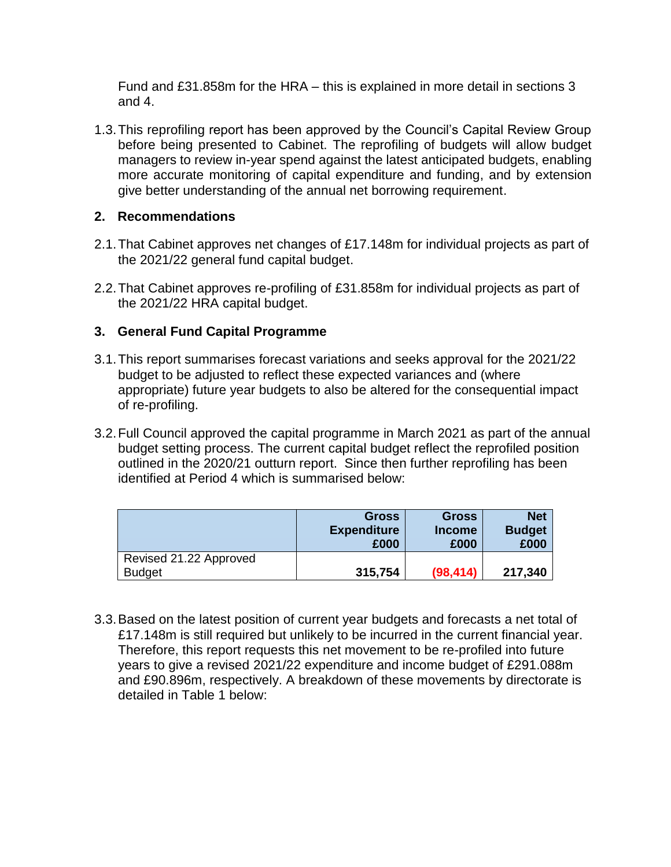Fund and £31.858m for the HRA – this is explained in more detail in sections 3 and 4.

1.3.This reprofiling report has been approved by the Council's Capital Review Group before being presented to Cabinet. The reprofiling of budgets will allow budget managers to review in-year spend against the latest anticipated budgets, enabling more accurate monitoring of capital expenditure and funding, and by extension give better understanding of the annual net borrowing requirement.

#### **2. Recommendations**

- 2.1.That Cabinet approves net changes of £17.148m for individual projects as part of the 2021/22 general fund capital budget.
- 2.2.That Cabinet approves re-profiling of £31.858m for individual projects as part of the 2021/22 HRA capital budget.

#### **3. General Fund Capital Programme**

- 3.1.This report summarises forecast variations and seeks approval for the 2021/22 budget to be adjusted to reflect these expected variances and (where appropriate) future year budgets to also be altered for the consequential impact of re-profiling.
- 3.2.Full Council approved the capital programme in March 2021 as part of the annual budget setting process. The current capital budget reflect the reprofiled position outlined in the 2020/21 outturn report. Since then further reprofiling has been identified at Period 4 which is summarised below:

|                        | <b>Gross</b><br><b>Expenditure</b><br>£000 | <b>Gross</b><br><b>Income</b><br>£000 | <b>Net</b><br><b>Budget</b><br>£000 |
|------------------------|--------------------------------------------|---------------------------------------|-------------------------------------|
| Revised 21.22 Approved |                                            |                                       |                                     |
| <b>Budget</b>          | 315,754                                    | (98, 414)                             | 217,340                             |

3.3.Based on the latest position of current year budgets and forecasts a net total of £17.148m is still required but unlikely to be incurred in the current financial year. Therefore, this report requests this net movement to be re-profiled into future years to give a revised 2021/22 expenditure and income budget of £291.088m and £90.896m, respectively. A breakdown of these movements by directorate is detailed in Table 1 below: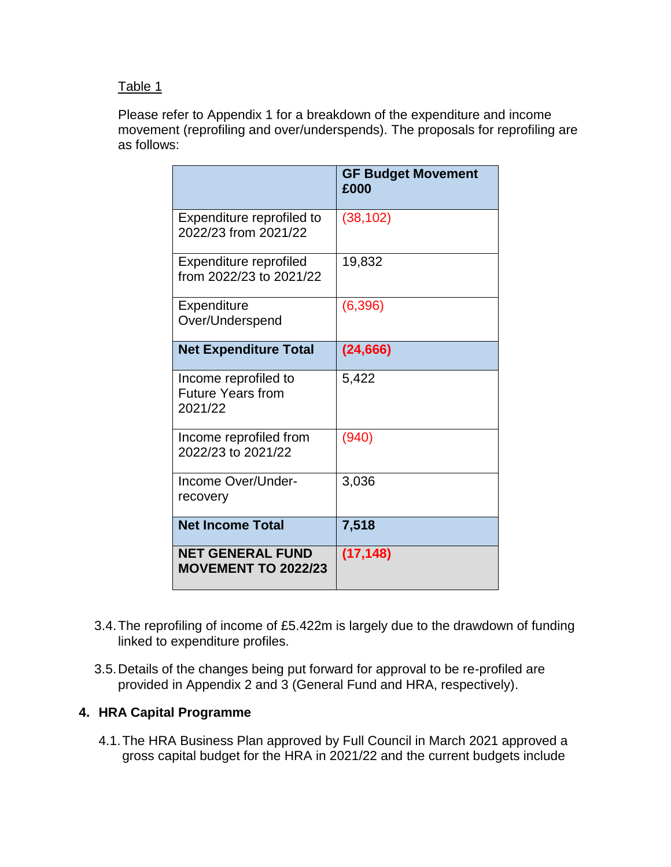#### Table 1

Please refer to Appendix 1 for a breakdown of the expenditure and income movement (reprofiling and over/underspends). The proposals for reprofiling are as follows:

|                                                             | <b>GF Budget Movement</b><br>£000 |
|-------------------------------------------------------------|-----------------------------------|
| Expenditure reprofiled to<br>2022/23 from 2021/22           | (38, 102)                         |
| Expenditure reprofiled<br>from 2022/23 to 2021/22           | 19,832                            |
| Expenditure<br>Over/Underspend                              | (6, 396)                          |
| <b>Net Expenditure Total</b>                                | (24, 666)                         |
| Income reprofiled to<br><b>Future Years from</b><br>2021/22 | 5,422                             |
| Income reprofiled from<br>2022/23 to 2021/22                | (940)                             |
| Income Over/Under-<br>recovery                              | 3,036                             |
| <b>Net Income Total</b>                                     | 7,518                             |
| <b>NET GENERAL FUND</b><br><b>MOVEMENT TO 2022/23</b>       | (17, 148)                         |

- 3.4.The reprofiling of income of £5.422m is largely due to the drawdown of funding linked to expenditure profiles.
- 3.5.Details of the changes being put forward for approval to be re-profiled are provided in Appendix 2 and 3 (General Fund and HRA, respectively).

#### **4. HRA Capital Programme**

4.1.The HRA Business Plan approved by Full Council in March 2021 approved a gross capital budget for the HRA in 2021/22 and the current budgets include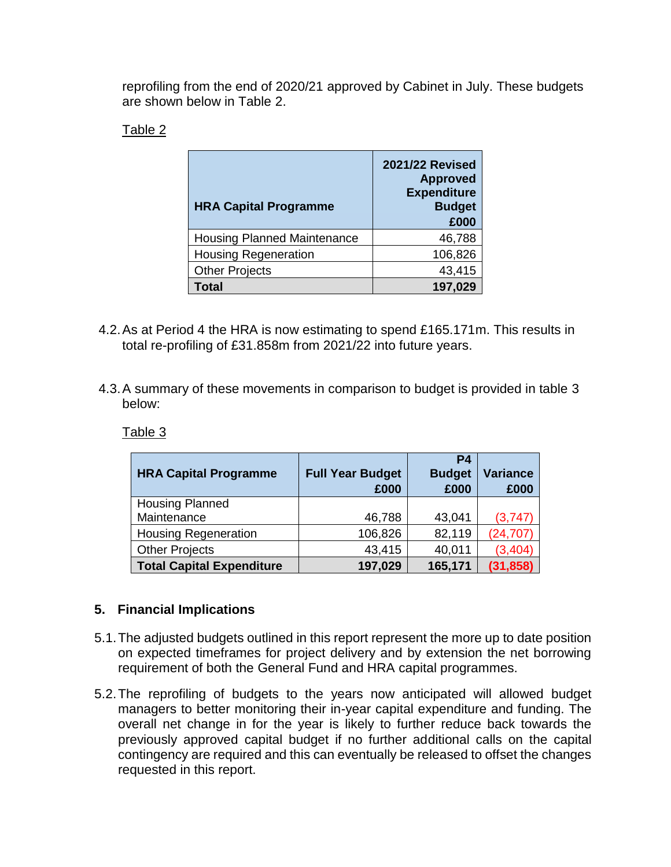reprofiling from the end of 2020/21 approved by Cabinet in July. These budgets are shown below in Table 2.

#### Table 2

| <b>HRA Capital Programme</b>       | <b>2021/22 Revised</b><br><b>Approved</b><br><b>Expenditure</b><br><b>Budget</b><br>£000 |  |
|------------------------------------|------------------------------------------------------------------------------------------|--|
| <b>Housing Planned Maintenance</b> | 46,788                                                                                   |  |
| <b>Housing Regeneration</b>        | 106,826                                                                                  |  |
| <b>Other Projects</b>              | 43,415                                                                                   |  |
| <b>Total</b>                       | 197,029                                                                                  |  |

- 4.2.As at Period 4 the HRA is now estimating to spend £165.171m. This results in total re-profiling of £31.858m from 2021/22 into future years.
- 4.3.A summary of these movements in comparison to budget is provided in table 3 below:

Table 3

| <b>HRA Capital Programme</b>     | <b>Full Year Budget</b><br>£000 | <b>P4</b><br><b>Budget</b><br>£000 | <b>Variance</b><br>£000 |
|----------------------------------|---------------------------------|------------------------------------|-------------------------|
| <b>Housing Planned</b>           |                                 |                                    |                         |
| Maintenance                      | 46,788                          | 43,041                             | (3,747)                 |
| <b>Housing Regeneration</b>      | 106,826                         | 82,119                             | (24, 707)               |
| <b>Other Projects</b>            | 43,415                          | 40,011                             | (3, 404)                |
| <b>Total Capital Expenditure</b> | 197,029                         | 165,171                            | (31, 858)               |

#### **5. Financial Implications**

- 5.1.The adjusted budgets outlined in this report represent the more up to date position on expected timeframes for project delivery and by extension the net borrowing requirement of both the General Fund and HRA capital programmes.
- 5.2.The reprofiling of budgets to the years now anticipated will allowed budget managers to better monitoring their in-year capital expenditure and funding. The overall net change in for the year is likely to further reduce back towards the previously approved capital budget if no further additional calls on the capital contingency are required and this can eventually be released to offset the changes requested in this report.